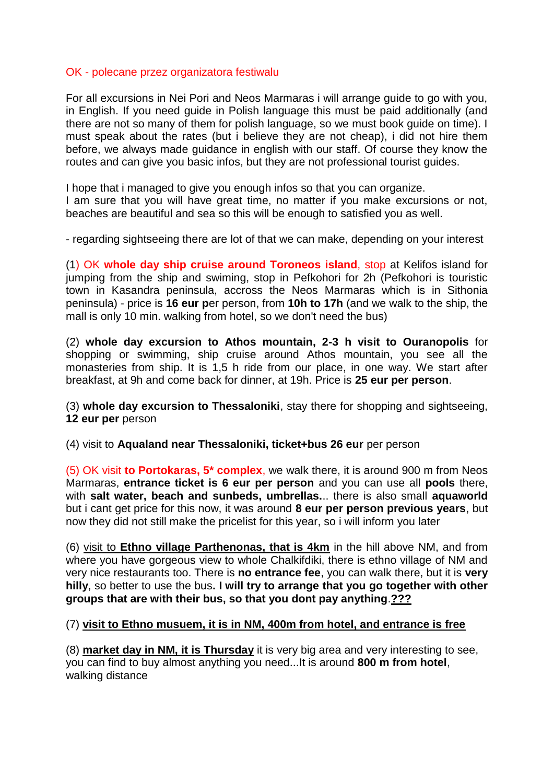## OK - polecane przez organizatora festiwalu

For all excursions in Nei Pori and Neos Marmaras i will arrange guide to go with you, in English. If you need guide in Polish language this must be paid additionally (and there are not so many of them for polish language, so we must book guide on time). I must speak about the rates (but i believe they are not cheap), i did not hire them before, we always made guidance in english with our staff. Of course they know the routes and can give you basic infos, but they are not professional tourist guides.

I hope that i managed to give you enough infos so that you can organize.

I am sure that you will have great time, no matter if you make excursions or not, beaches are beautiful and sea so this will be enough to satisfied you as well.

- regarding sightseeing there are lot of that we can make, depending on your interest

(1) OK **whole day ship cruise around Toroneos island**, stop at Kelifos island for jumping from the ship and swiming, stop in Pefkohori for 2h (Pefkohori is touristic town in Kasandra peninsula, accross the Neos Marmaras which is in Sithonia peninsula) - price is **16 eur p**er person, from **10h to 17h** (and we walk to the ship, the mall is only 10 min. walking from hotel, so we don't need the bus)

(2) **whole day excursion to Athos mountain, 2-3 h visit to Ouranopolis** for shopping or swimming, ship cruise around Athos mountain, you see all the monasteries from ship. It is 1,5 h ride from our place, in one way. We start after breakfast, at 9h and come back for dinner, at 19h. Price is **25 eur per person**.

(3) **whole day excursion to Thessaloniki**, stay there for shopping and sightseeing, **12 eur per** person

(4) visit to **Aqualand near Thessaloniki, ticket+bus 26 eur** per person

(5) OK visit **to Portokaras, 5\* complex**, we walk there, it is around 900 m from Neos Marmaras, **entrance ticket is 6 eur per person** and you can use all **pools** there, with **salt water, beach and sunbeds, umbrellas.**.. there is also small **aquaworld**  but i cant get price for this now, it was around **8 eur per person previous years**, but now they did not still make the pricelist for this year, so i will inform you later

(6) visit to **Ethno village Parthenonas, that is 4km** in the hill above NM, and from where you have gorgeous view to whole Chalkifdiki, there is ethno village of NM and very nice restaurants too. There is **no entrance fee**, you can walk there, but it is **very hilly**, so better to use the bus**. I will try to arrange that you go together with other groups that are with their bus, so that you dont pay anything**.**???**

## (7) **visit to Ethno musuem, it is in NM, 400m from hotel, and entrance is free**

(8) **market day in NM, it is Thursday** it is very big area and very interesting to see, you can find to buy almost anything you need...It is around **800 m from hotel**, walking distance